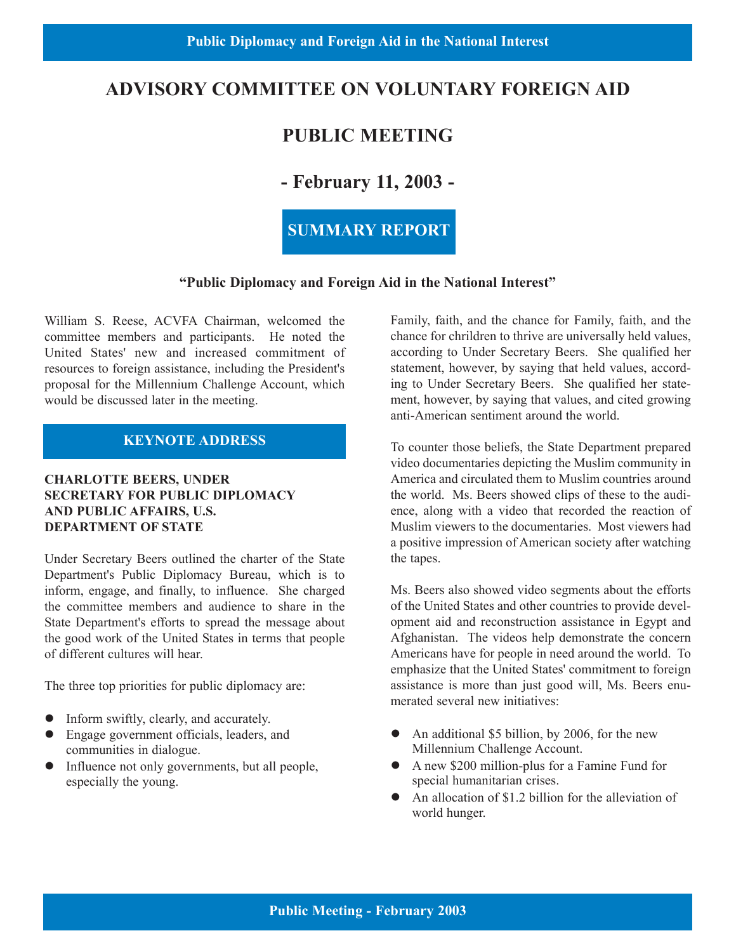#### **ADVISORY COMMITTEE ON VOLUNTARY FOREIGN AID**

#### **PUBLIC MEETING**

#### **- February 11, 2003 -**

#### **SUMMARY REPORT**

#### **"Public Diplomacy and Foreign Aid in the National Interest"**

William S. Reese, ACVFA Chairman, welcomed the committee members and participants. He noted the United States' new and increased commitment of resources to foreign assistance, including the President's proposal for the Millennium Challenge Account, which would be discussed later in the meeting.

#### **KEYNOTE ADDRESS**

#### **CHARLOTTE BEERS, UNDER SECRETARY FOR PUBLIC DIPLOMACY AND PUBLIC AFFAIRS, U.S. DEPARTMENT OF STATE**

Under Secretary Beers outlined the charter of the State Department's Public Diplomacy Bureau, which is to inform, engage, and finally, to influence. She charged the committee members and audience to share in the State Department's efforts to spread the message about the good work of the United States in terms that people of different cultures will hear.

The three top priorities for public diplomacy are:

- $\bullet$  Inform swiftly, clearly, and accurately.
- Engage government officials, leaders, and communities in dialogue.
- Influence not only governments, but all people, especially the young.

Family, faith, and the chance for Family, faith, and the chance for chrildren to thrive are universally held values, according to Under Secretary Beers. She qualified her statement, however, by saying that held values, according to Under Secretary Beers. She qualified her statement, however, by saying that values, and cited growing anti-American sentiment around the world.

To counter those beliefs, the State Department prepared video documentaries depicting the Muslim community in America and circulated them to Muslim countries around the world. Ms. Beers showed clips of these to the audience, along with a video that recorded the reaction of Muslim viewers to the documentaries. Most viewers had a positive impression of American society after watching the tapes.

Ms. Beers also showed video segments about the efforts of the United States and other countries to provide development aid and reconstruction assistance in Egypt and Afghanistan. The videos help demonstrate the concern Americans have for people in need around the world. To emphasize that the United States' commitment to foreign assistance is more than just good will, Ms. Beers enumerated several new initiatives:

- An additional \$5 billion, by 2006, for the new Millennium Challenge Account.
- A new \$200 million-plus for a Famine Fund for special humanitarian crises.
- An allocation of \$1.2 billion for the alleviation of world hunger.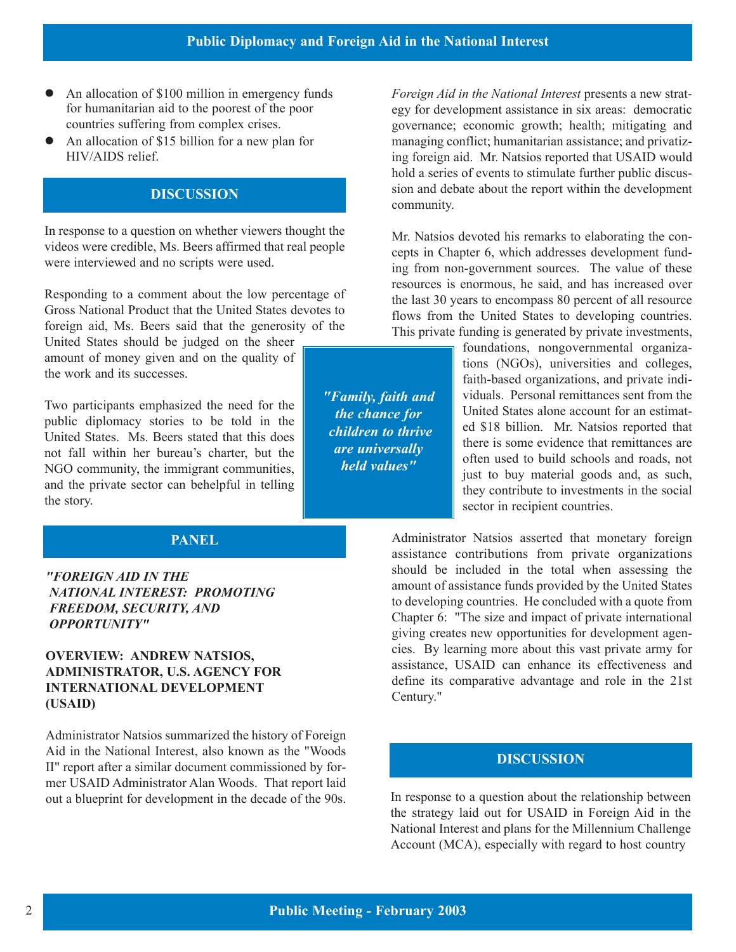- An allocation of \$100 million in emergency funds for humanitarian aid to the poorest of the poor countries suffering from complex crises.
- An allocation of \$15 billion for a new plan for HIV/AIDS relief.

#### **DISCUSSION**

In response to a question on whether viewers thought the videos were credible, Ms. Beers affirmed that real people were interviewed and no scripts were used.

Responding to a comment about the low percentage of Gross National Product that the United States devotes to foreign aid, Ms. Beers said that the generosity of the

United States should be judged on the sheer amount of money given and on the quality of the work and its successes.

Two participants emphasized the need for the public diplomacy stories to be told in the United States. Ms. Beers stated that this does not fall within her bureau's charter, but the NGO community, the immigrant communities, and the private sector can behelpful in telling the story.

#### **PANEL**

## **(USAID)** Century."

Administrator Natsios summarized the history of Foreign Aid in the National Interest, also known as the "Woods II" report after a similar document commissioned by former USAID Administrator Alan Woods. That report laid

egy for development assistance in six areas: democratic governance; economic growth; health; mitigating and managing conflict; humanitarian assistance; and privatizing foreign aid. Mr. Natsios reported that USAID would hold a series of events to stimulate further public discussion and debate about the report within the development community.

*Foreign Aid in the National Interest* presents a new strat-

ing from non-government sources. The value of these Mr. Natsios devoted his remarks to elaborating the concepts in Chapter 6, which addresses development fundresources is enormous, he said, and has increased over the last 30 years to encompass 80 percent of all resource flows from the United States to developing countries. This private funding is generated by private investments,

> foundations, nongovernmental organizations (NGOs), universities and colleges, faith-based organizations, and private individuals. Personal remittances sent from the United States alone account for an estimated \$18 billion. Mr. Natsios reported that there is some evidence that remittances are often used to build schools and roads, not just to buy material goods and, as such, they contribute to investments in the social sector in recipient countries.

Administrator Natsios asserted that monetary foreign assistance contributions from private organizations *"FOREIGN AID IN THE* should be included in the total when assessing the *NATIONAL INTEREST: PROMOTING* amount of assistance funds provided by the United States **FREEDOM, SECURITY, AND** to developing countries. He concluded with a quote from **Chapter 6:** "The size and impact of private international **OPPORTUNITY"** giving creates new opportunities for development agen-**OVERVIEW: ANDREW NATSIOS,** cies. By learning more about this vast private army for **ADMINISTRATOR, U.S. AGENCY FOR** assistance, USAID can enhance its effectiveness and **ADMINISTRATOR.** U.S. AGENCY FOR **INTERNATIONAL DEVELOPMENT** define its comparative advantage and role in the 21st Century."

#### **DISCUSSION**

out a blueprint for development in the decade of the 90s. In response to a question about the relationship between the strategy laid out for USAID in Foreign Aid in the National Interest and plans for the Millennium Challenge Account (MCA), especially with regard to host country

*"Family, faith and the chance for children to thrive are universally held values"*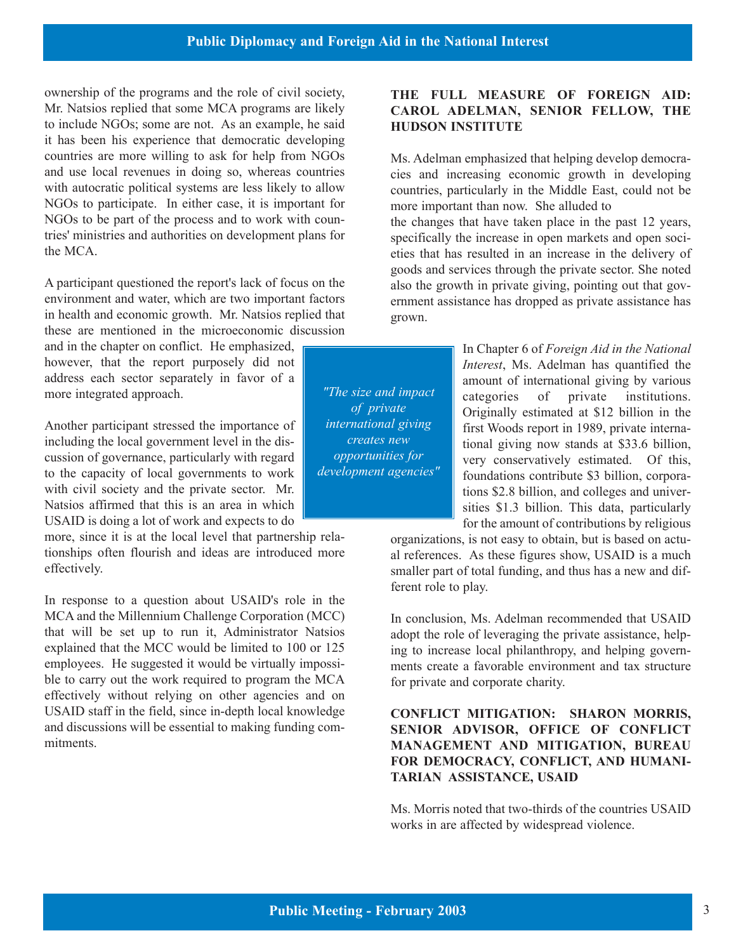ownership of the programs and the role of civil society, Mr. Natsios replied that some MCA programs are likely to include NGOs; some are not. As an example, he said it has been his experience that democratic developing countries are more willing to ask for help from NGOs and use local revenues in doing so, whereas countries with autocratic political systems are less likely to allow NGOs to participate. In either case, it is important for NGOs to be part of the process and to work with countries' ministries and authorities on development plans for the MCA.

A participant questioned the report's lack of focus on the environment and water, which are two important factors in health and economic growth. Mr. Natsios replied that these are mentioned in the microeconomic discussion

and in the chapter on conflict. He emphasized, however, that the report purposely did not *Interest*, Ms. Adelman has quantified the address each sector separately in favor of a address each sector separately in favor of a<br> *The size and impact* amount of international giving by various<br>
amount of international giving by various<br>
amount of international giving by various<br>
and impact<br>
and impact<br>
o

Another participant stressed the importance of *international giving* first Woods report in 1989, private interna-<br>including the local government level in the dis-<br>generates new tional giving now stands at \$33.6 billion including the local government level in the dis-<br>cussion of governance, particularly with regard opportunities for the very conservatively estimated Of this cussion of governance, particularly with regard opportunities for very conservatively estimated. Of this,<br>to the capacity of local governments to work development agencies" foundations contribute \$3 billion corporato the capacity of local governments to work *development agencies* foundations contribute \$3 billion, corpora-<br>with civil society and the private sector. Mr. with civil society and the private sector. Mr.<br>Natsios affirmed that this is an area in which the strive sector of the strive sector. This data particularly

USAID is doing a lot of work and expects to do<br>more, since it is at the local level that partnership rela-<br>organizations is not easy to obtain but is based on actumore, since it is at the local level that partnership rela-<br>tionships often flourish and ideas are introduced more al references. As these figures show USAID is a much

In response to a question about USAID's role in the MCA and the Millennium Challenge Corporation (MCC) In conclusion, Ms. Adelman recommended that USAID<br>that will be set up to run it, Administrator Natsios adont the role of leveraging the private assistance helpthat will be set up to run it, Administrator Natsios adopt the role of leveraging the private assistance, help-<br>explained that the MCC would be limited to 100 or 125 ing to increase local philanthropy, and helping governexplained that the MCC would be limited to 100 or 125 ing to increase local philanthropy, and helping govern-<br>employees. He suggested it would be virtually impossi-<br>ments create a favorable environment and tax structure ble to carry out the work required to program the MCA for private and corporate charity. effectively without relying on other agencies and on USAID staff in the field, since in-depth local knowledge **CONFLICT MITIGATION: SHARON MORRIS,** and discussions will be essential to making funding com-<br> **SENIOR ADVISOR, OFFICE OF CONFLICT**<br> **MANAGEMENT AND MITICATION BUREAU** 

*"The size and impact of private international giving creates new opportunities for development agencies"* 

#### **THE FULL MEASURE OF FOREIGN AID: CAROL ADELMAN, SENIOR FELLOW, THE HUDSON INSTITUTE**

Ms. Adelman emphasized that helping develop democracies and increasing economic growth in developing countries, particularly in the Middle East, could not be more important than now. She alluded to

the changes that have taken place in the past 12 years, specifically the increase in open markets and open societies that has resulted in an increase in the delivery of goods and services through the private sector. She noted also the growth in private giving, pointing out that government assistance has dropped as private assistance has grown.

> In Chapter 6 of *Foreign Aid in the National*  categories of private institutions. Originally estimated at \$12 billion in the sities \$1.3 billion. This data, particularly

tionships often flourish and ideas are introduced more al references. As these figures show, USAID is a much effectively. smaller part of total funding, and thus has a new and different role to play.

ments create a favorable environment and tax structure

### **MANAGEMENT AND MITIGATION, BUREAU FOR DEMOCRACY, CONFLICT, AND HUMANI-TARIAN ASSISTANCE, USAID**

Ms. Morris noted that two-thirds of the countries USAID works in are affected by widespread violence.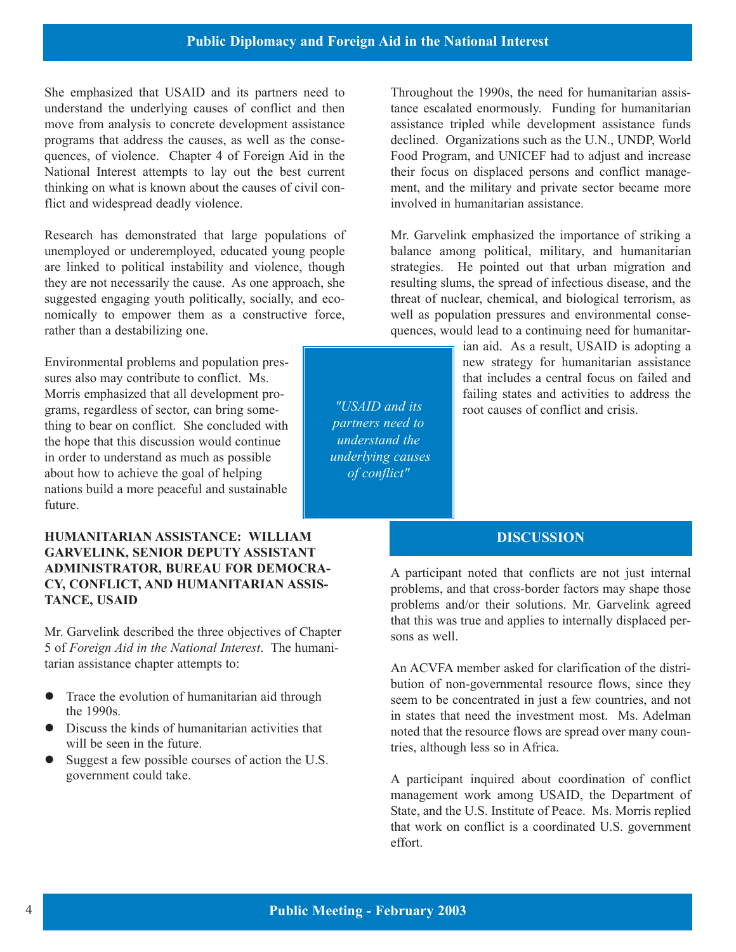She emphasized that USAID and its partners need to understand the underlying causes of conflict and then move from analysis to concrete development assistance programs that address the causes, as well as the consequences, of violence. Chapter 4 of Foreign Aid in the National Interest attempts to lay out the best current thinking on what is known about the causes of civil conflict and widespread deadly violence.

Research has demonstrated that large populations of unemployed or underemployed, educated young people are linked to political instability and violence, though they are not necessarily the cause. As one approach, she suggested engaging youth politically, socially, and economically to empower them as a constructive force, rather than a destabilizing one.

Environmental problems and population pressures also may contribute to conflict. Ms. Morris emphasized that all development programs, regardless of sector, can bring some-  $\parallel$   $\parallel$   $\parallel$   $\parallel$   $\parallel$   $\parallel$   $\parallel$  and its  $\parallel$  root causes of conflict and crisis. thing to bear on conflict. She concluded with the hope that this discussion would continue in order to understand as much as possible about how to achieve the goal of helping nations build a more peaceful and sustainable future.

### **HUMANITARIAN ASSISTANCE: WILLIAM GARVELINK, SENIOR DEPUTY ASSISTANT ADMINISTRATOR, BUREAU FOR DEMOCRA-**<br> **A** participant noted that conflicts are not just internal<br> **CY, CONFLICT, AND HUMANITARIAN ASSIS-**<br> **A** participant noted that cross-border factors may shape those<br> **TANCE, USAID**<br> **A**

Mr. Garvelink described the three objectives of Chapter sons as well. 5 of *Foreign Aid in the National Interest*. The humanitarian assistance chapter attempts to: An ACVFA member asked for clarification of the distri-

- 
- 
- Suggest a few possible courses of action the U.S. government could take.

Throughout the 1990s, the need for humanitarian assistance escalated enormously. Funding for humanitarian assistance tripled while development assistance funds declined. Organizations such as the U.N., UNDP, World Food Program, and UNICEF had to adjust and increase their focus on displaced persons and conflict management, and the military and private sector became more involved in humanitarian assistance.

Mr. Garvelink emphasized the importance of striking a balance among political, military, and humanitarian strategies. He pointed out that urban migration and resulting slums, the spread of infectious disease, and the threat of nuclear, chemical, and biological terrorism, as well as population pressures and environmental consequences, would lead to a continuing need for humanitar-

ian aid. As a result, USAID is adopting a

#### **DISCUSSION**

problems and/or their solutions. Mr. Garvelink agreed that this was true and applies to internally displaced per-

bution of non-governmental resource flows, since they Trace the evolution of humanitarian aid through seem to be concentrated in just a few countries, and not the 1990s.<br>
in states that need the investment most. Ms. Adelman Discuss the kinds of humanitarian activities that ne Discuss the kinds of humanitarian activities that noted that the resource flows are spread over many coun-<br>will be seen in the future. tries, although less so in Africa.

> A participant inquired about coordination of conflict management work among USAID, the Department of State, and the U.S. Institute of Peace. Ms. Morris replied that work on conflict is a coordinated U.S. government effort.

*"USAID and its partners need to understand the underlying causes of conflict"*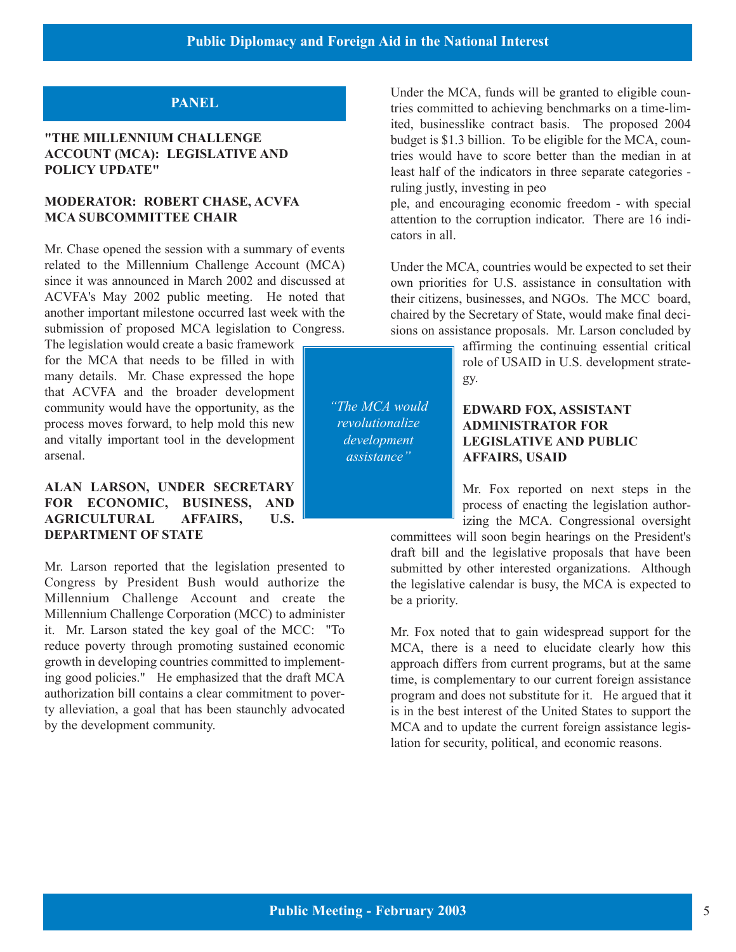#### **PANEL**

#### **"THE MILLENNIUM CHALLENGE ACCOUNT (MCA): LEGISLATIVE AND POLICY UPDATE"**

#### **MODERATOR: ROBERT CHASE, ACVFA MCA SUBCOMMITTEE CHAIR**

Mr. Chase opened the session with a summary of events related to the Millennium Challenge Account (MCA) since it was announced in March 2002 and discussed at ACVFA's May 2002 public meeting. He noted that another important milestone occurred last week with the submission of proposed MCA legislation to Congress.

The legislation would create a basic framework for the MCA that needs to be filled in with role of USAID in U.S. development stratemany details. Mr. Chase expressed the hope  $\left| \right|$  gy. that ACVFA and the broader development community would have the opportunity, as the  $\parallel$  "The MCA would **EDWARD FOX, ASSISTANT** process moves forward, to help mold this new **ADMINISTRATOR FOR** and vitally important tool in the development *development* **LEGISLATIVE AND PUBLIC** *assistance* **LEGISLATIVE AND PUBLIC** 

#### **ALAN LARSON, UNDER SECRETARY** MIL **MILE 1** Mr. Fox reported on next steps in the **FOR ECONOMIC, BUSINESS, AND AGRICULTURAL AFFAIRS, U.S.** U.S. izing the MCA. Congressional oversight izing the MCA. Congressional oversight committees will soon begin bearings on the President's

Mr. Larson reported that the legislation presented to submitted by other interested organizations. Although Congress by President Bush would authorize the legislative calendar is busy the MCA is expected to Millennium Challenge Account and create the be a priority. Millennium Challenge Corporation (MCC) to administer it. Mr. Larson stated the key goal of the MCC: "To Mr. Fox noted that to gain widespread support for the reduce poverty through promoting sustained economic MCA, there is a need to elucidate clearly how this reduce poverty through promoting sustained economic MCA, there is a need to elucidate clearly how this growth in developing countries committed to implement-<br>approach differs from current programs but at the same ing good policies." He emphasized that the draft MCA time, is complementary to our current foreign assistance authorization bill contains a clear commitment to pover-<br>program and does not substitute for it. He argued that authorization bill contains a clear commitment to pover-<br>ty alleviation, a goal that has been staunchly advocated is in the best interest of the United States to support the ty alleviation, a goal that has been staunchly advocated is in the best interest of the United States to support the by the development community.<br>MCA and to undate the current foreign assistance legis-

Under the MCA, funds will be granted to eligible countries committed to achieving benchmarks on a time-limited, businesslike contract basis. The proposed 2004 budget is \$1.3 billion. To be eligible for the MCA, countries would have to score better than the median in at least half of the indicators in three separate categories ruling justly, investing in peo

ple, and encouraging economic freedom - with special attention to the corruption indicator. There are 16 indicators in all.

Under the MCA, countries would be expected to set their own priorities for U.S. assistance in consultation with their citizens, businesses, and NGOs. The MCC board, chaired by the Secretary of State, would make final decisions on assistance proposals. Mr. Larson concluded by

affirming the continuing essential critical

## arsenal. **AFFAIRS, USAID**

committees will soon begin hearings on the President's draft bill and the legislative proposals that have been the legislative calendar is busy, the MCA is expected to

approach differs from current programs, but at the same MCA and to update the current foreign assistance legislation for security, political, and economic reasons.

*"The MCA would revolutionalize development assistance"*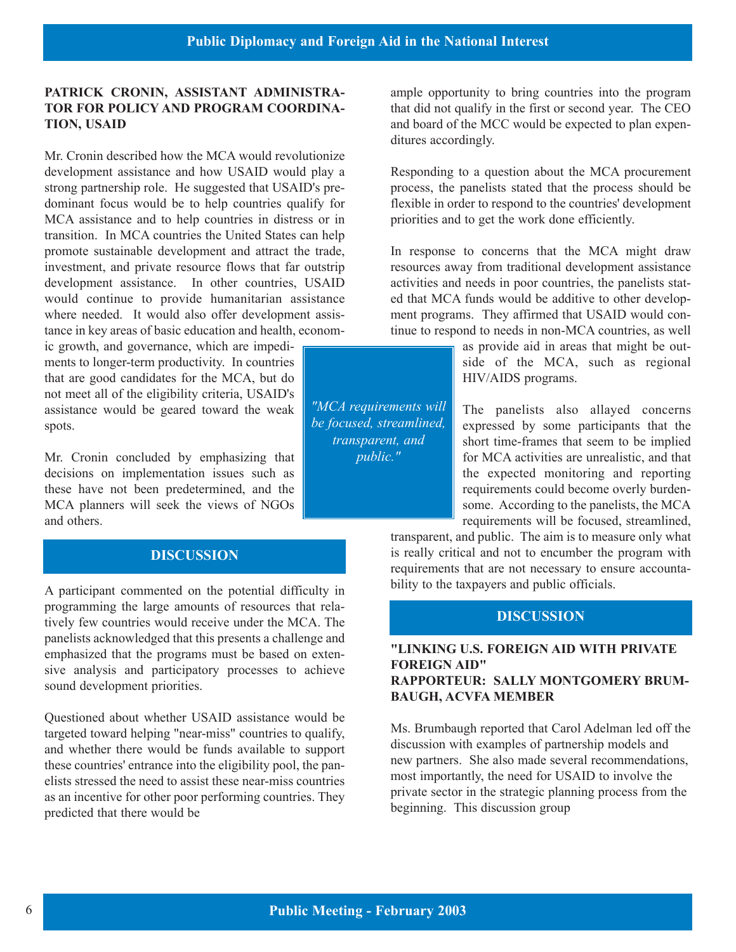#### **PATRICK CRONIN, ASSISTANT ADMINISTRA-TOR FOR POLICY AND PROGRAM COORDINA-TION, USAID**

Mr. Cronin described how the MCA would revolutionize development assistance and how USAID would play a strong partnership role. He suggested that USAID's predominant focus would be to help countries qualify for MCA assistance and to help countries in distress or in transition. In MCA countries the United States can help promote sustainable development and attract the trade, investment, and private resource flows that far outstrip development assistance. In other countries, USAID would continue to provide humanitarian assistance where needed. It would also offer development assistance in key areas of basic education and health, econom-

ic growth, and governance, which are impediments to longer-term productivity. In countries show that is side of the MCA, such as regional that are good candidates for the MCA, but do  $HIV/AIDS$  programs. not meet all of the eligibility criteria, USAID's assistance would be geared toward the weak  $\parallel$  "MCA requirements will  $\parallel$  The panelists also allayed concerns spots. Expressed by some participants that the spots.

Mr. Cronin concluded by emphasizing that  $\vert$  *public."*  $\vert$  for MCA activities are unrealistic, and that decisions on implementation issues such as the expected monitoring and reporting these have not been predetermined, and the requirements could become overly burden-MCA planners will seek the views of NGOs some according to the panelists, the MCA and others. The requirements will be focused, streamlined, and others.

#### **DISCUSSION**

A participant commented on the potential difficulty in bility to the taxpayers and public officials. programming the large amounts of resources that relatively few countries would receive under the MCA. The panelists acknowledged that this presents a challenge and emphasized that the programs must be based on exten-<br>**EXAMPLE TOREIGN AID** WITH PRIVATE sive analysis and participatory processes to achieve sound development priorities.<br>**RAPPORTEUR: SALLY MONTGOMERY BRUM-**

Questioned about whether USAID assistance would be targeted toward helping "near-miss" countries to qualify,<br>and whether there would be funds available to support discussion with examples of partnership models and and whether there would be funds available to support discussion with examples of partnership models and these countries' entrance into the eligibility pool the pan new partners. She also made several recommendations, these countries' entrance into the eligibility pool, the pan-<br>
new partners. She also made several recommendation<br>
most importantly, the need for USAID to involve the elists stressed the need to assist these near-miss countries most importantly, the need for USAID to involve the<br>as an incentive for other poor performing countries. They private sector in the strategic planning process fr as an incentive for other poor performing countries. They predicted that there would be beginning. This discussion group

ample opportunity to bring countries into the program that did not qualify in the first or second year. The CEO and board of the MCC would be expected to plan expenditures accordingly.

Responding to a question about the MCA procurement process, the panelists stated that the process should be flexible in order to respond to the countries' development priorities and to get the work done efficiently.

In response to concerns that the MCA might draw resources away from traditional development assistance activities and needs in poor countries, the panelists stated that MCA funds would be additive to other development programs. They affirmed that USAID would continue to respond to needs in non-MCA countries, as well

as provide aid in areas that might be out-

short time-frames that seem to be implied

transparent, and public. The aim is to measure only what is really critical and not to encumber the program with requirements that are not necessary to ensure accounta-

#### **DISCUSSION**

# **BAUGH, ACVFA MEMBER**

*"MCA requirements will be focused, streamlined, transparent, and public."*